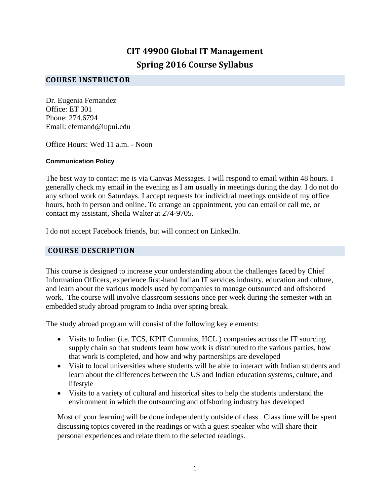# **CIT 49900 Global IT Management Spring 2016 Course Syllabus**

### **COURSE INSTRUCTOR**

Dr. Eugenia Fernandez Office: ET 301 Phone: 274.6794 Email: efernand@iupui.edu

Office Hours: Wed 11 a.m. - Noon

#### **Communication Policy**

The best way to contact me is via Canvas Messages. I will respond to email within 48 hours. I generally check my email in the evening as I am usually in meetings during the day. I do not do any school work on Saturdays. I accept requests for individual meetings outside of my office hours, both in person and online. To arrange an appointment, you can email or call me, or contact my assistant, Sheila Walter at 274-9705.

I do not accept Facebook friends, but will connect on LinkedIn.

#### **COURSE DESCRIPTION**

This course is designed to increase your understanding about the challenges faced by Chief Information Officers, experience first-hand Indian IT services industry, education and culture, and learn about the various models used by companies to manage outsourced and offshored work. The course will involve classroom sessions once per week during the semester with an embedded study abroad program to India over spring break.

The study abroad program will consist of the following key elements:

- Visits to Indian (i.e. TCS, KPIT Cummins, HCL.) companies across the IT sourcing supply chain so that students learn how work is distributed to the various parties, how that work is completed, and how and why partnerships are developed
- Visit to local universities where students will be able to interact with Indian students and learn about the differences between the US and Indian education systems, culture, and lifestyle
- Visits to a variety of cultural and historical sites to help the students understand the environment in which the outsourcing and offshoring industry has developed

Most of your learning will be done independently outside of class. Class time will be spent discussing topics covered in the readings or with a guest speaker who will share their personal experiences and relate them to the selected readings.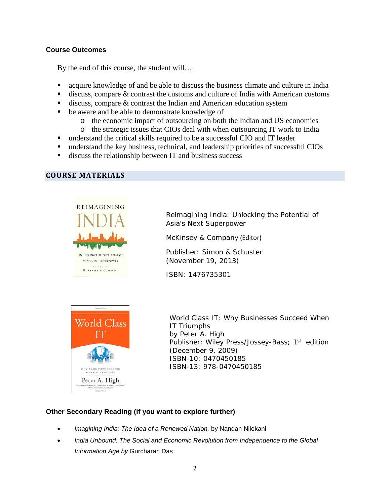### **Course Outcomes**

By the end of this course, the student will…

- acquire knowledge of and be able to discuss the business climate and culture in India
- discuss, compare & contrast the customs and culture of India with American customs
- $\blacksquare$  discuss, compare & contrast the Indian and American education system
- be aware and be able to demonstrate knowledge of
	- o the economic impact of outsourcing on both the Indian and US economies
	- o the strategic issues that CIOs deal with when outsourcing IT work to India
- understand the critical skills required to be a successful CIO and IT leader
- understand the key business, technical, and leadership priorities of successful CIOs
- discuss the relationship between IT and business success

#### **COURSE MATERIALS**



Reimagining India: Unlocking the Potential of Asia's Next Superpower

McKinsey & Company (Editor)

Publisher: Simon & Schuster (November 19, 2013)

ISBN: 1476735301



World Class IT: Why Businesses Succeed When IT Triumphs by Peter A. High Publisher: Wiley Press/Jossey-Bass; 1st edition (December 9, 2009) ISBN-10: 0470450185 ISBN-13: 978-0470450185

### **Other Secondary Reading (if you want to explore further)**

- *Imagining India: The Idea of a Renewed Nation,* by Nandan Nilekani
- *India Unbound: The Social and Economic Revolution from Independence to the Global Information Age by* Gurcharan Das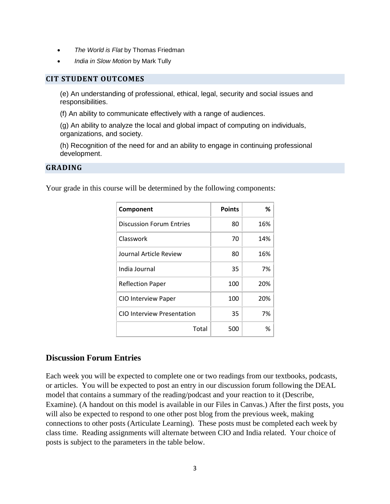- *The World is Flat* by Thomas Friedman
- *India in Slow Motion* by Mark Tully

#### **CIT STUDENT OUTCOMES**

(e) An understanding of professional, ethical, legal, security and social issues and responsibilities.

(f) An ability to communicate effectively with a range of audiences.

(g) An ability to analyze the local and global impact of computing on individuals, organizations, and society.

(h) Recognition of the need for and an ability to engage in continuing professional development.

#### **GRADING**

Your grade in this course will be determined by the following components:

| Component                       | <b>Points</b> | %   |
|---------------------------------|---------------|-----|
| <b>Discussion Forum Entries</b> | 80            | 16% |
| Classwork                       | 70            | 14% |
| Journal Article Review          | 80            | 16% |
| India Journal                   | 35            | 7%  |
| <b>Reflection Paper</b>         | 100           | 20% |
| <b>CIO Interview Paper</b>      | 100           | 20% |
| CIO Interview Presentation      | 35            | 7%  |
| Total                           | 500           | %   |

#### **Discussion Forum Entries**

Each week you will be expected to complete one or two readings from our textbooks, podcasts, or articles. You will be expected to post an entry in our discussion forum following the DEAL model that contains a summary of the reading/podcast and your reaction to it (Describe, Examine). (A handout on this model is available in our Files in Canvas.) After the first posts, you will also be expected to respond to one other post blog from the previous week, making connections to other posts (Articulate Learning). These posts must be completed each week by class time. Reading assignments will alternate between CIO and India related. Your choice of posts is subject to the parameters in the table below.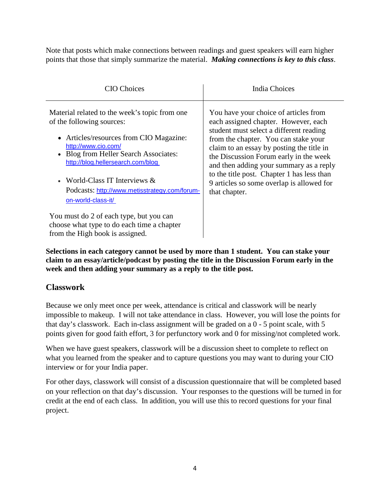Note that posts which make connections between readings and guest speakers will earn higher points that those that simply summarize the material. *Making connections is key to this class*.

| <b>CIO</b> Choices                                                                                                                                                                                                                                                                                                                  | <b>India Choices</b>                                                                                                                                                                                                                                                                                                                                                                                           |
|-------------------------------------------------------------------------------------------------------------------------------------------------------------------------------------------------------------------------------------------------------------------------------------------------------------------------------------|----------------------------------------------------------------------------------------------------------------------------------------------------------------------------------------------------------------------------------------------------------------------------------------------------------------------------------------------------------------------------------------------------------------|
| Material related to the week's topic from one.<br>of the following sources:<br>• Articles/resources from CIO Magazine:<br>http://www.cio.com/<br>Blog from Heller Search Associates:<br>http://blog.hellersearch.com/blog<br>• World-Class IT Interviews $&$<br>Podcasts: http://www.metisstrategy.com/forum-<br>on-world-class-it/ | You have your choice of articles from<br>each assigned chapter. However, each<br>student must select a different reading<br>from the chapter. You can stake your<br>claim to an essay by posting the title in<br>the Discussion Forum early in the week<br>and then adding your summary as a reply<br>to the title post. Chapter 1 has less than<br>9 articles so some overlap is allowed for<br>that chapter. |
| You must do 2 of each type, but you can<br>choose what type to do each time a chapter<br>from the High book is assigned.                                                                                                                                                                                                            |                                                                                                                                                                                                                                                                                                                                                                                                                |

**Selections in each category cannot be used by more than 1 student. You can stake your claim to an essay/article/podcast by posting the title in the Discussion Forum early in the week and then adding your summary as a reply to the title post.** 

### **Classwork**

Because we only meet once per week, attendance is critical and classwork will be nearly impossible to makeup. I will not take attendance in class. However, you will lose the points for that day's classwork. Each in-class assignment will be graded on a 0 - 5 point scale, with 5 points given for good faith effort, 3 for perfunctory work and 0 for missing/not completed work.

When we have guest speakers, classwork will be a discussion sheet to complete to reflect on what you learned from the speaker and to capture questions you may want to during your CIO interview or for your India paper.

For other days, classwork will consist of a discussion questionnaire that will be completed based on your reflection on that day's discussion. Your responses to the questions will be turned in for credit at the end of each class. In addition, you will use this to record questions for your final project.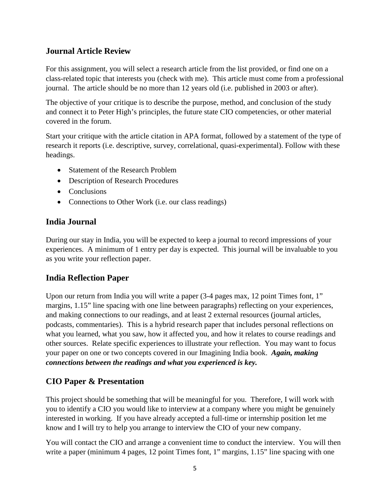# **Journal Article Review**

For this assignment, you will select a research article from the list provided, or find one on a class-related topic that interests you (check with me). This article must come from a professional journal. The article should be no more than 12 years old (i.e. published in 2003 or after).

The objective of your critique is to describe the purpose, method, and conclusion of the study and connect it to Peter High's principles, the future state CIO competencies, or other material covered in the forum.

Start your critique with the article citation in APA format, followed by a statement of the type of research it reports (i.e. descriptive, survey, correlational, quasi-experimental). Follow with these headings.

- Statement of the Research Problem
- Description of Research Procedures
- Conclusions
- Connections to Other Work (i.e. our class readings)

# **India Journal**

During our stay in India, you will be expected to keep a journal to record impressions of your experiences. A minimum of 1 entry per day is expected. This journal will be invaluable to you as you write your reflection paper.

### **India Reflection Paper**

Upon our return from India you will write a paper (3-4 pages max, 12 point Times font, 1" margins, 1.15" line spacing with one line between paragraphs) reflecting on your experiences, and making connections to our readings, and at least 2 external resources (journal articles, podcasts, commentaries). This is a hybrid research paper that includes personal reflections on what you learned, what you saw, how it affected you, and how it relates to course readings and other sources. Relate specific experiences to illustrate your reflection. You may want to focus your paper on one or two concepts covered in our Imagining India book. *Again, making connections between the readings and what you experienced is key.*

# **CIO Paper & Presentation**

This project should be something that will be meaningful for you. Therefore, I will work with you to identify a CIO you would like to interview at a company where you might be genuinely interested in working. If you have already accepted a full-time or internship position let me know and I will try to help you arrange to interview the CIO of your new company.

You will contact the CIO and arrange a convenient time to conduct the interview. You will then write a paper (minimum 4 pages, 12 point Times font, 1" margins, 1.15" line spacing with one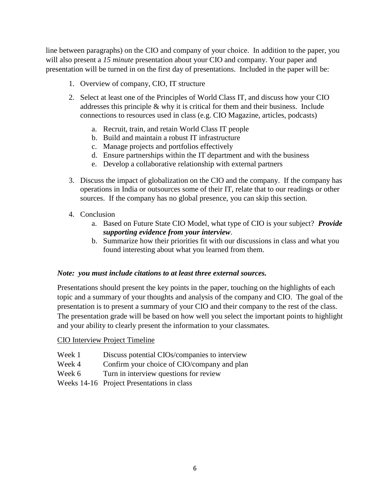line between paragraphs) on the CIO and company of your choice. In addition to the paper, you will also present a *15 minute* presentation about your CIO and company. Your paper and presentation will be turned in on the first day of presentations. Included in the paper will be:

- 1. Overview of company, CIO, IT structure
- 2. Select at least one of the Principles of World Class IT, and discuss how your CIO addresses this principle  $\&$  why it is critical for them and their business. Include connections to resources used in class (e.g. CIO Magazine, articles, podcasts)
	- a. Recruit, train, and retain World Class IT people
	- b. Build and maintain a robust IT infrastructure
	- c. Manage projects and portfolios effectively
	- d. Ensure partnerships within the IT department and with the business
	- e. Develop a collaborative relationship with external partners
- 3. Discuss the impact of globalization on the CIO and the company. If the company has operations in India or outsources some of their IT, relate that to our readings or other sources. If the company has no global presence, you can skip this section.
- 4. Conclusion
	- a. Based on Future State CIO Model, what type of CIO is your subject? *Provide supporting evidence from your interview*.
	- b. Summarize how their priorities fit with our discussions in class and what you found interesting about what you learned from them.

#### *Note: you must include citations to at least three external sources.*

Presentations should present the key points in the paper, touching on the highlights of each topic and a summary of your thoughts and analysis of the company and CIO. The goal of the presentation is to present a summary of your CIO and their company to the rest of the class. The presentation grade will be based on how well you select the important points to highlight and your ability to clearly present the information to your classmates.

#### CIO Interview Project Timeline

- Week 1 Discuss potential CIOs/companies to interview
- Week 4 Confirm your choice of CIO/company and plan
- Week 6 Turn in interview questions for review
- Weeks 14-16 Project Presentations in class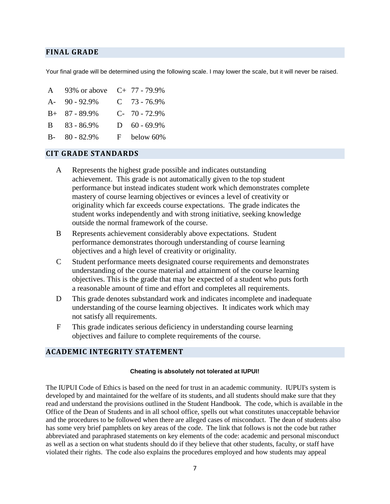#### **FINAL GRADE**

Your final grade will be determined using the following scale. I may lower the scale, but it will never be raised.

A 93% or above C+ 77 - 79.9% A- 90 - 92.9% C 73 - 76.9% B+ 87 - 89.9% C- 70 - 72.9% B 83 - 86.9% D 60 - 69.9% B- 80 - 82.9% F below 60%

#### **CIT GRADE STANDARDS**

- A Represents the highest grade possible and indicates outstanding achievement. This grade is not automatically given to the top student performance but instead indicates student work which demonstrates complete mastery of course learning objectives or evinces a level of creativity or originality which far exceeds course expectations. The grade indicates the student works independently and with strong initiative, seeking knowledge outside the normal framework of the course.
- B Represents achievement considerably above expectations. Student performance demonstrates thorough understanding of course learning objectives and a high level of creativity or originality.
- C Student performance meets designated course requirements and demonstrates understanding of the course material and attainment of the course learning objectives. This is the grade that may be expected of a student who puts forth a reasonable amount of time and effort and completes all requirements.
- D This grade denotes substandard work and indicates incomplete and inadequate understanding of the course learning objectives. It indicates work which may not satisfy all requirements.
- F This grade indicates serious deficiency in understanding course learning objectives and failure to complete requirements of the course.

#### **ACADEMIC INTEGRITY STATEMENT**

#### **Cheating is absolutely not tolerated at IUPUI!**

The IUPUI Code of Ethics is based on the need for trust in an academic community. IUPUI's system is developed by and maintained for the welfare of its students, and all students should make sure that they read and understand the provisions outlined in the Student Handbook. The code, which is available in the Office of the Dean of Students and in all school office, spells out what constitutes unacceptable behavior and the procedures to be followed when there are alleged cases of misconduct. The dean of students also has some very brief pamphlets on key areas of the code. The link that follows is not the code but rather abbreviated and paraphrased statements on key elements of the code: academic and personal misconduct as well as a section on what students should do if they believe that other students, faculty, or staff have violated their rights. The code also explains the procedures employed and how students may appeal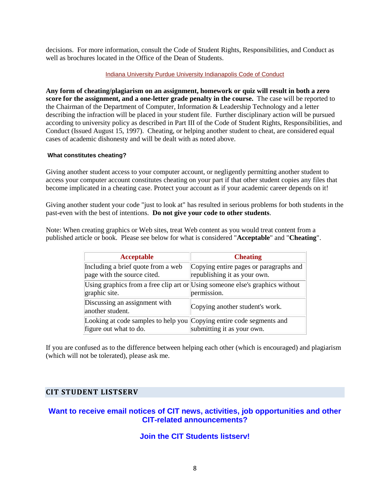decisions. For more information, consult the Code of Student Rights, Responsibilities, and Conduct as well as brochures located in the Office of the Dean of Students.

#### [Indiana University Purdue University Indianapolis Code of](http://bulletin2000.iupui.edu/introduction/code.html) Conduct

**Any form of cheating/plagiarism on an assignment, homework or quiz will result in both a zero score for the assignment, and a one-letter grade penalty in the course.** The case will be reported to the Chairman of the Department of Computer, Information & Leadership Technology and a letter describing the infraction will be placed in your student file. Further disciplinary action will be pursued according to university policy as described in Part III of the Code of Student Rights, Responsibilities, and Conduct (Issued August 15, 1997). Cheating, or helping another student to cheat, are considered equal cases of academic dishonesty and will be dealt with as noted above.

#### **What constitutes cheating?**

Giving another student access to your computer account, or negligently permitting another student to access your computer account constitutes cheating on your part if that other student copies any files that become implicated in a cheating case. Protect your account as if your academic career depends on it!

Giving another student your code "just to look at" has resulted in serious problems for both students in the past-even with the best of intentions. **Do not give your code to other students**.

Note: When creating graphics or Web sites, treat Web content as you would treat content from a published article or book. Please see below for what is considered "**Acceptable**" and "**Cheating**".

| <b>Acceptable</b>                                                                              | <b>Cheating</b>                                                                             |
|------------------------------------------------------------------------------------------------|---------------------------------------------------------------------------------------------|
| Including a brief quote from a web<br>page with the source cited.                              | Copying entire pages or paragraphs and<br>republishing it as your own.                      |
| graphic site.                                                                                  | Using graphics from a free clip art or Using someone else's graphics without<br>permission. |
| Discussing an assignment with<br>another student.                                              | Copying another student's work.                                                             |
| Looking at code samples to help you Copying entire code segments and<br>figure out what to do. | submitting it as your own.                                                                  |

If you are confused as to the difference between helping each other (which is encouraged) and plagiarism (which will not be tolerated), please ask me.

#### **CIT STUDENT LISTSERV**

### **Want to receive email notices of CIT news, activities, job opportunities and other CIT-related announcements?**

#### **Join the CIT Students listserv!**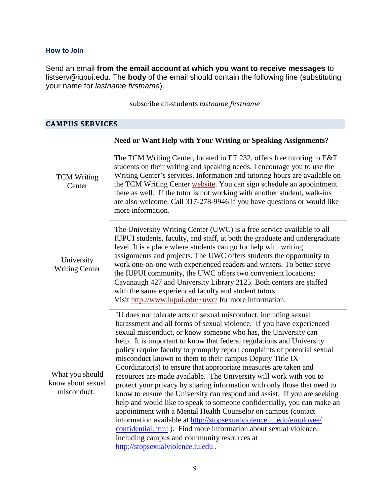#### **How to Join**

Send an email **from the email account at which you want to receive messages** to listserv@iupui.edu. The **body** of the email should contain the following line (substituting your name for *lastname firstname*).

subscribe cit-students *lastname firstname*

### **CAMPUS SERVICES**

|                                                     | <b>Need or Want Help with Your Writing or Speaking Assignments?</b>                                                                                                                                                                                                                                                                                                                                                                                                                                                                                                                                                                                                                                                                                                                                                                                                                                                                                                                                                                                                                                      |
|-----------------------------------------------------|----------------------------------------------------------------------------------------------------------------------------------------------------------------------------------------------------------------------------------------------------------------------------------------------------------------------------------------------------------------------------------------------------------------------------------------------------------------------------------------------------------------------------------------------------------------------------------------------------------------------------------------------------------------------------------------------------------------------------------------------------------------------------------------------------------------------------------------------------------------------------------------------------------------------------------------------------------------------------------------------------------------------------------------------------------------------------------------------------------|
| <b>TCM Writing</b><br>Center                        | The TCM Writing Center, located in ET 232, offers free tutoring to E&T<br>students on their writing and speaking needs. I encourage you to use the<br>Writing Center's services. Information and tutoring hours are available on<br>the TCM Writing Center website. You can sign schedule an appointment<br>there as well. If the tutor is not working with another student, walk-ins<br>are also welcome. Call 317-278-9946 if you have questions or would like<br>more information.                                                                                                                                                                                                                                                                                                                                                                                                                                                                                                                                                                                                                    |
| University<br><b>Writing Center</b>                 | The University Writing Center (UWC) is a free service available to all<br>IUPUI students, faculty, and staff, at both the graduate and undergraduate<br>level. It is a place where students can go for help with writing<br>assignments and projects. The UWC offers students the opportunity to<br>work one-on-one with experienced readers and writers. To better serve<br>the IUPUI community, the UWC offers two convenient locations:<br>Cavanaugh 427 and University Library 2125. Both centers are staffed<br>with the same experienced faculty and student tutors.<br>Visit http://www.iupui.edu/~uwc/ for more information.                                                                                                                                                                                                                                                                                                                                                                                                                                                                     |
| What you should<br>know about sexual<br>misconduct: | IU does not tolerate acts of sexual misconduct, including sexual<br>harassment and all forms of sexual violence. If you have experienced<br>sexual misconduct, or know someone who has, the University can<br>help. It is important to know that federal regulations and University<br>policy require faculty to promptly report complaints of potential sexual<br>misconduct known to them to their campus Deputy Title IX<br>Coordinator(s) to ensure that appropriate measures are taken and<br>resources are made available. The University will work with you to<br>protect your privacy by sharing information with only those that need to<br>know to ensure the University can respond and assist. If you are seeking<br>help and would like to speak to someone confidentially, you can make an<br>appointment with a Mental Health Counselor on campus (contact<br>information available at http://stopsexualviolence.iu.edu/employee/<br>confidential.html). Find more information about sexual violence,<br>including campus and community resources at<br>http://stopsexualviolence.iu.edu. |